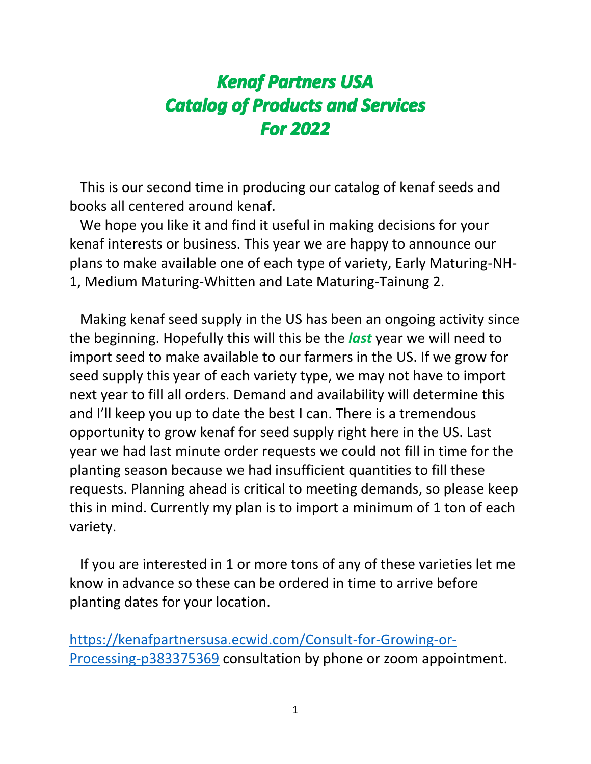# **Kenaf Partners USA Catalog of Products and Services For 2022**

 This is our second time in producing our catalog of kenaf seeds and books all centered around kenaf.

 We hope you like it and find it useful in making decisions for your kenaf interests or business. This year we are happy to announce our plans to make available one of each type of variety, Early Maturing-NH-1, Medium Maturing-Whitten and Late Maturing-Tainung 2.

 Making kenaf seed supply in the US has been an ongoing activity since the beginning. Hopefully this will this be the *last* year we will need to import seed to make available to our farmers in the US. If we grow for seed supply this year of each variety type, we may not have to import next year to fill all orders. Demand and availability will determine this and I'll keep you up to date the best I can. There is a tremendous opportunity to grow kenaf for seed supply right here in the US. Last year we had last minute order requests we could not fill in time for the planting season because we had insufficient quantities to fill these requests. Planning ahead is critical to meeting demands, so please keep this in mind. Currently my plan is to import a minimum of 1 ton of each variety.

 If you are interested in 1 or more tons of any of these varieties let me know in advance so these can be ordered in time to arrive before planting dates for your location.

[https://kenafpartnersusa.ecwid.com/Consult-for-Growing-or-](https://kenafpartnersusa.ecwid.com/Consult-for-Growing-or-Processing-p383375369)[Processing-p383375369](https://kenafpartnersusa.ecwid.com/Consult-for-Growing-or-Processing-p383375369) consultation by phone or zoom appointment.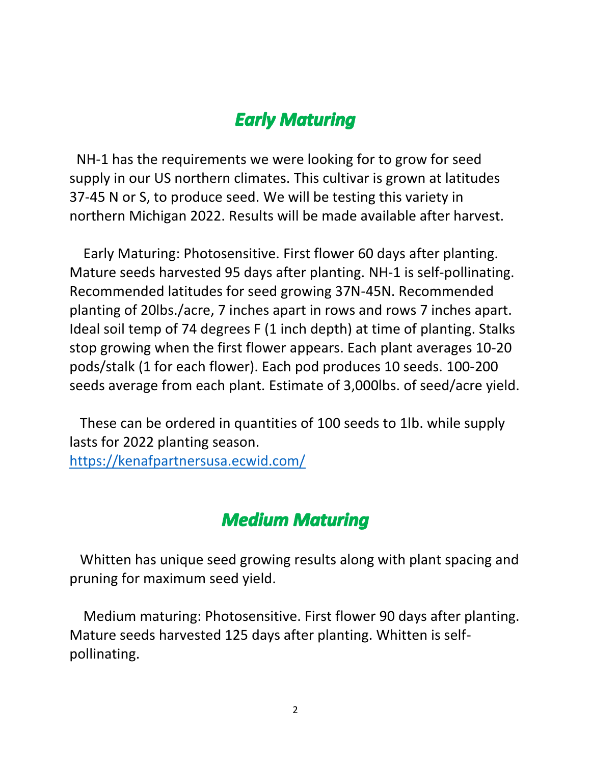### **Early Maturing**

NH-1 has the requirements we were looking for to grow for seed supply in our US northern climates. This cultivar is grown at latitudes 37-45 N or S, to produce seed. We will be testing this variety in northern Michigan 2022. Results will be made available after harvest.

 Early Maturing: Photosensitive. First flower 60 days after planting. Mature seeds harvested 95 days after planting. NH-1 is self-pollinating. Recommended latitudes for seed growing 37N-45N. Recommended planting of 20lbs./acre, 7 inches apart in rows and rows 7 inches apart. Ideal soil temp of 74 degrees F (1 inch depth) at time of planting. Stalks stop growing when the first flower appears. Each plant averages 10-20 pods/stalk (1 for each flower). Each pod produces 10 seeds. 100-200 seeds average from each plant. Estimate of 3,000lbs. of seed/acre yield.

 These can be ordered in quantities of 100 seeds to 1lb. while supply lasts for 2022 planting season. <https://kenafpartnersusa.ecwid.com/>

#### **Medium Maturing**

 Whitten has unique seed growing results along with plant spacing and pruning for maximum seed yield.

 Medium maturing: Photosensitive. First flower 90 days after planting. Mature seeds harvested 125 days after planting. Whitten is selfpollinating.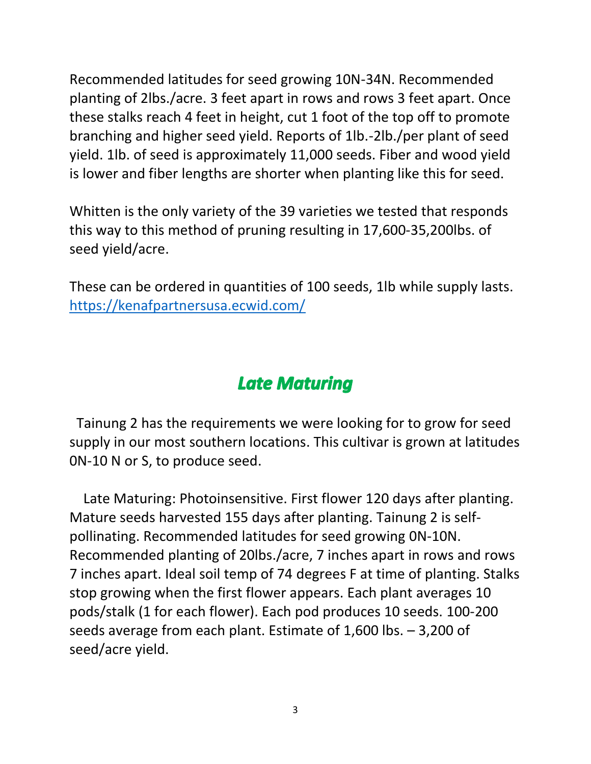Recommended latitudes for seed growing 10N-34N. Recommended planting of 2lbs./acre. 3 feet apart in rows and rows 3 feet apart. Once these stalks reach 4 feet in height, cut 1 foot of the top off to promote branching and higher seed yield. Reports of 1lb.-2lb./per plant of seed yield. 1lb. of seed is approximately 11,000 seeds. Fiber and wood yield is lower and fiber lengths are shorter when planting like this for seed.

Whitten is the only variety of the 39 varieties we tested that responds this way to this method of pruning resulting in 17,600-35,200lbs. of seed yield/acre.

These can be ordered in quantities of 100 seeds, 1lb while supply lasts. <https://kenafpartnersusa.ecwid.com/>

## **Late Maturing**

 Tainung 2 has the requirements we were looking for to grow for seed supply in our most southern locations. This cultivar is grown at latitudes 0N-10 N or S, to produce seed.

 Late Maturing: Photoinsensitive. First flower 120 days after planting. Mature seeds harvested 155 days after planting. Tainung 2 is selfpollinating. Recommended latitudes for seed growing 0N-10N. Recommended planting of 20lbs./acre, 7 inches apart in rows and rows 7 inches apart. Ideal soil temp of 74 degrees F at time of planting. Stalks stop growing when the first flower appears. Each plant averages 10 pods/stalk (1 for each flower). Each pod produces 10 seeds. 100-200 seeds average from each plant. Estimate of 1,600 lbs. – 3,200 of seed/acre yield.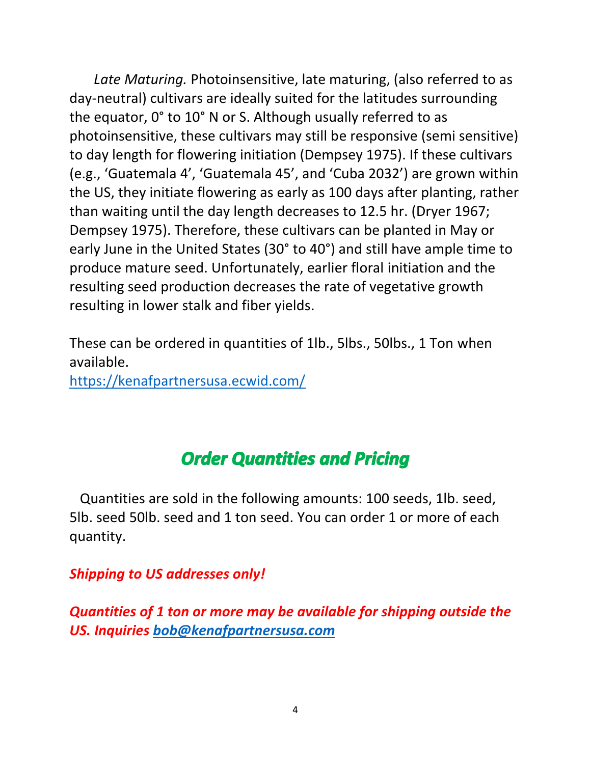*Late Maturing.* Photoinsensitive, late maturing, (also referred to as day-neutral) cultivars are ideally suited for the latitudes surrounding the equator, 0° to 10° N or S. Although usually referred to as photoinsensitive, these cultivars may still be responsive (semi sensitive) to day length for flowering initiation (Dempsey 1975). If these cultivars (e.g., 'Guatemala 4', 'Guatemala 45', and 'Cuba 2032') are grown within the US, they initiate flowering as early as 100 days after planting, rather than waiting until the day length decreases to 12.5 hr. (Dryer 1967; Dempsey 1975). Therefore, these cultivars can be planted in May or early June in the United States (30° to 40°) and still have ample time to produce mature seed. Unfortunately, earlier floral initiation and the resulting seed production decreases the rate of vegetative growth resulting in lower stalk and fiber yields.

These can be ordered in quantities of 1lb., 5lbs., 50lbs., 1 Ton when available.

<https://kenafpartnersusa.ecwid.com/>

#### **Order Quantities and Pricing**

 Quantities are sold in the following amounts: 100 seeds, 1lb. seed, 5lb. seed 50lb. seed and 1 ton seed. You can order 1 or more of each quantity.

#### *Shipping to US addresses only!*

*Quantities of 1 ton or more may be available for shipping outside the US. Inquiries [bob@kenafpartnersusa.com](mailto:bob@kenafpartnersusa.com)*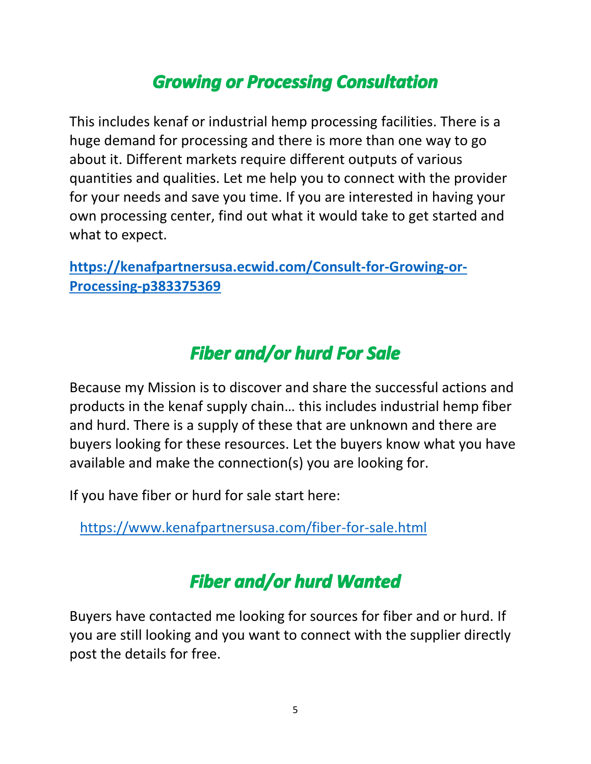# **Growing or Processing Consultation**

This includes kenaf or industrial hemp processing facilities. There is a huge demand for processing and there is more than one way to go about it. Different markets require different outputs of various quantities and qualities. Let me help you to connect with the provider for your needs and save you time. If you are interested in having your own processing center, find out what it would take to get started and what to expect.

**[https://kenafpartnersusa.ecwid.com/Consult-for-Growing-or-](https://kenafpartnersusa.ecwid.com/Consult-for-Growing-or-Processing-p383375369)[Processing-p383375369](https://kenafpartnersusa.ecwid.com/Consult-for-Growing-or-Processing-p383375369)**

# **Fiber and/or hurd For Sale**

Because my Mission is to discover and share the successful actions and products in the kenaf supply chain… this includes industrial hemp fiber and hurd. There is a supply of these that are unknown and there are buyers looking for these resources. Let the buyers know what you have available and make the connection(s) you are looking for.

If you have fiber or hurd for sale start here:

<https://www.kenafpartnersusa.com/fiber-for-sale.html>

# **Fiber and/or hurd Wanted**

Buyers have contacted me looking for sources for fiber and or hurd. If you are still looking and you want to connect with the supplier directly post the details for free.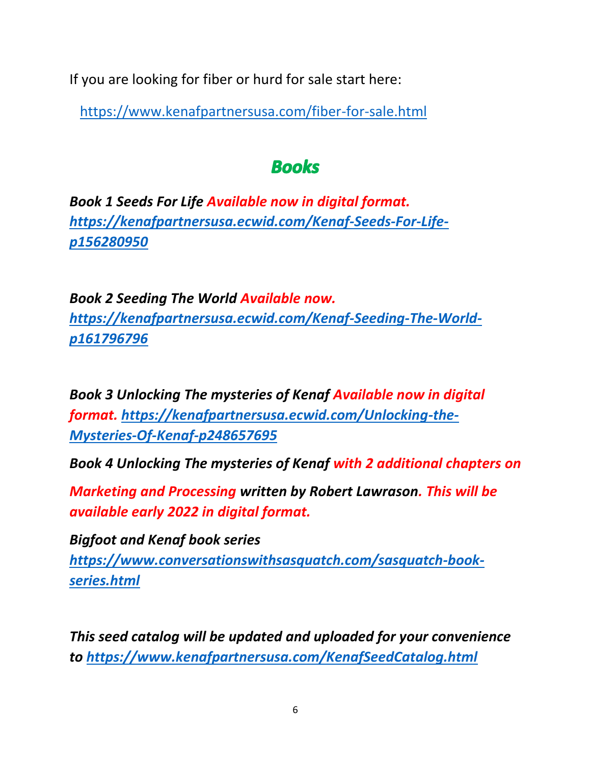If you are looking for fiber or hurd for sale start here:

<https://www.kenafpartnersusa.com/fiber-for-sale.html>

## **Books**

*Book 1 Seeds For Life Available now in digital format. [https://kenafpartnersusa.ecwid.com/Kenaf-Seeds-For-Life](https://kenafpartnersusa.ecwid.com/Kenaf-Seeds-For-Life-p156280950)[p156280950](https://kenafpartnersusa.ecwid.com/Kenaf-Seeds-For-Life-p156280950)*

*Book 2 Seeding The World Available now. [https://kenafpartnersusa.ecwid.com/Kenaf-Seeding-The-World](https://kenafpartnersusa.ecwid.com/Kenaf-Seeding-The-World-p161796796)[p161796796](https://kenafpartnersusa.ecwid.com/Kenaf-Seeding-The-World-p161796796)*

*Book 3 Unlocking The mysteries of Kenaf Available now in digital format. [https://kenafpartnersusa.ecwid.com/Unlocking-the-](https://kenafpartnersusa.ecwid.com/Unlocking-the-Mysteries-Of-Kenaf-p248657695)[Mysteries-Of-Kenaf-p248657695](https://kenafpartnersusa.ecwid.com/Unlocking-the-Mysteries-Of-Kenaf-p248657695)*

*Book 4 Unlocking The mysteries of Kenaf with 2 additional chapters on*

*Marketing and Processing written by Robert Lawrason. This will be available early 2022 in digital format.*

*Bigfoot and Kenaf book series [https://www.conversationswithsasquatch.com/sasquatch-book](https://www.conversationswithsasquatch.com/sasquatch-book-series.html)[series.html](https://www.conversationswithsasquatch.com/sasquatch-book-series.html)*

*This seed catalog will be updated and uploaded for your convenience to<https://www.kenafpartnersusa.com/KenafSeedCatalog.html>*